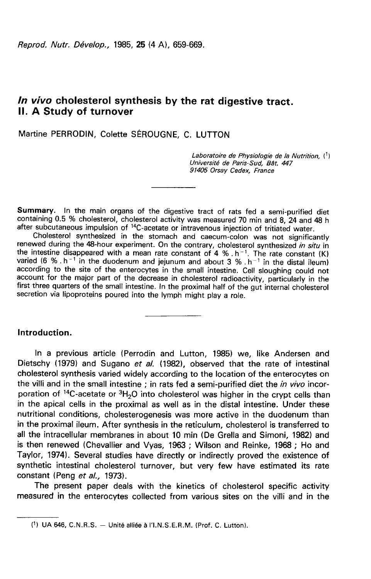# In vivo cholesterol synthesis by the rat digestive tract. II. A Study of turnover

Martine PERRODIN, Colette SÉROUGNE, C. LUTTON

Laboratoire de Physiologie de la Nutrition,  $\binom{1}{1}$ Université de Paris-Sud, Bât. 447 91405 Orsay Cedex, France

Summary. In the main organs of the digestive tract of rats fed a semi-purified diet containing 0.5 % cholesterol, cholesterol activity was measured 70 min and 8, 24 and 48 h

after subcutaneous impulsion of <sup>14</sup>C-acetate or intravenous injection of tritiated water.<br>Cholesterol synthesized in the stomach and caecum-colon was not significantly renewed during the 48-hour experiment. On the contrary, cholesterol synthesized in situ in the intestine disappeared with a mean rate constant of 4 %  $h^{-1}$ . The rate constant (K) varied (6 %  $h^{-1}$  in the duodenum and jejunum and about 3 %  $h^{-1}$  in the distal ileum) according to the site of the enterocytes in the small intestine. Cell sloughing could not account for the major part of the decrease in cholesterol radioactivity, particularly in the first three quarters of the small intestine. In the proximal half of the gut internal cholesterol secretion via lipoproteins poured into the lymph might play a role.

### Introduction.

In a previous article (Perrodin and Lutton, 1985) we, like Andersen and Dietschy (1979) and Sugano et al. (1982), observed that the rate of intestinal cholesterol synthesis varied widely according to the location of the enterocytes on the villi and in the small intestine; in rats fed a semi-purified diet the *in vivo* incorporation of  ${}^{14}$ C-acetate or  ${}^{3}H_{2}O$  into cholesterol was higher in the crypt cells than in the apical cells in the proximal as well as in the distal intestine. Under these nutritional conditions, cholesterogenesis was more active in the duodenum than in the proximal ileum. After synthesis in the reticulum, cholesterol is transferred to all the intracellular membranes in about 10 min (De Grella and Simoni, 1982) and is then renewed (Chevallier and Vyas, 1963 ; Wilson and Reinke, 1968 ; Ho and Taylor, 1974). Several studies have directly or indirectly proved the existence of synthetic intestinal cholesterol turnover, but very few have estimated its rate constant (Peng et al., 1973).

The present paper deals with the kinetics of cholesterol specific activity measured in the enterocytes collected from various sites on the villi and in the

 $(1)$  UA 646, C.N.R.S.  $-$  Unité alliée à l'I.N.S.E.R.M. (Prof. C. Lutton).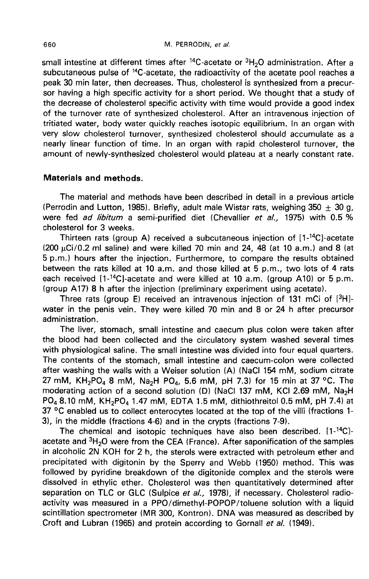$\mu$ . PERRODIN, *et al.*<br>
small intestine at different times after <sup>14</sup>C-acetate or <sup>3</sup>H<sub>2</sub>O administration. After a<br>
subcutaneous pulse of <sup>14</sup>C-acetate, the radioactivity of the acetate pool reaches a<br>
peak 30 min later peak 30 min later, then decreases. Thus, cholesterol is synthesized from a precursor having a high specific activity for a short period. We thought that a study of the decrease of cholesterol specific activity with time would provide a good index of the turnover rate of synthesized cholesterol. After an intravenous injection of tritiated water, body water quickly reaches isotopic equilibrium. In an organ with very slow cholesterol turnover, synthesized cholesterol should accumulate as a nearly linear function of time. In an organ with rapid cholesterol turnover, the amount of newly-synthesized cholesterol would plateau at a nearly constant rate.

# Materials and methods.

The material and methods have been described in detail in a previous article (Perrodin and Lutton, 1985). Briefly, adult male Wistar rats, weighing 350  $\pm$  30 g, (Perrodin and Lutton, 1985). Briefly, adult male Wistar rats, weighing 350  $\pm$  30 g, were fed *ad libitum* a semi-purified diet (Chevallier *et al.,* 1975) with 0.5 % cholesterol for 3 weeks.<br>Thirteen rats (group A) rece cholesterol for 3 weeks.

 $(200 \mu C)/0.2$  ml saline) and were killed 70 min and 24, 48 (at 10 a.m.) and 8 (at 5 p.m.) hours after the injection. Furthermore, to compare the results obtained between the rats killed at 10 a.m. and those killed at 5 p.m., two lots of 4 rats each received  $[1\text{-}{}^{14}\text{C}]$ -acetate and were killed at 10 a.m. (group A10) or 5 p.m. (200  $\mu$ Ci/0.2 ml saline) and were killed 70 min and 24, 48 (at 10 a.m.) and 8 (at 5 p.m.) hours after the injection. Furthermore, to compare the results obtained between the rats killed at 10 a.m. and those killed at 5 (group A17) 8 h after the injection (preliminary experiment using acetate).

Three rats (group E) received an intravenous injection of 131 mCi of  $[3H]$ water in the penis vein. They were killed 70 min and 8 or 24 h after precursor administration.

The liver, stomach, small intestine and caecum plus colon were taken after the blood had been collected and the circulatory system washed several times with physiological saline. The small intestine was divided into four equal quarters. The contents of the stomach, small intestine and caecum-colon were collected after washing the walls with a Weiser solution (A) (NaCl 154 mM, sodium citrate the blood had been collected and the circulatory system washed several times<br>with physiological saline. The small intestine was divided into four equal quarters.<br>The contents of the stomach, small intestine and caecum-col 37 °C enabled us to collect enterocytes located at the top of the villi (fractions 1- 3), in the middle (fractions 4-6) and in the crypts (fractions 7-9).  $PO_4$  8.10 mM,  $KH_2PO_4$  1.47 mM, EDTA 1.5 mM, dithiothreitol 0.5 mM, pH 7.4) at 37 °C enabled us to collect enterocytes located at the top of the villi (fractions 1-<br>3), in the middle (fractions 4-6) and in the crypts (f

acetate and  ${}^{3}H_{2}O$  were from the CEA (France). After saponification of the samples in alcoholic 2N KOH for 2 h, the sterols were extracted with petroleum ether and precipitated with digitonin by the Sperry and Webb (1950) method. This was followed by pyridine breakdown of the digitonide complex and the sterols were dissolved in ethylic ether. Cholesterol was then quantitatively determined after separation on TLC or GLC (Sulpice et al., 1978), if necessary. Cholesterol radioactivity was measured in a PPO/dimethyl-POPOP/toluene solution with a liquid scintillation spectrometer (MR 300, Kontron). DNA was measured as described by Croft and Lubran (1965) and protein according to Gornall et al. (1949).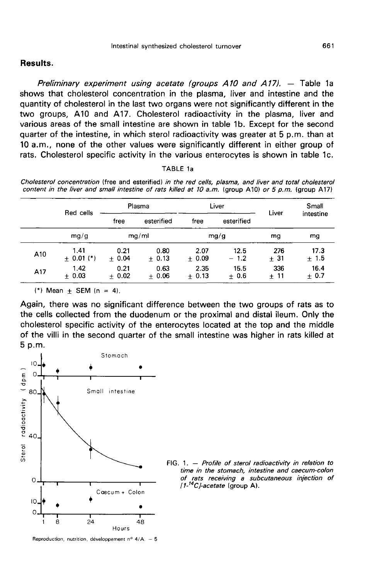# Results.

Preliminary experiment using acetate (groups  $A10$  and  $A17$ ).  $-$  Table 1a shows that cholesterol concentration in the plasma, liver and intestine and the quantity of cholesterol in the last two organs were not significantly different in the two groups, A10 and A17. Cholesterol radioactivity in the plasma, liver and various areas of the small intestine are shown in table 1b. Except for the second quarter of the intestine, in which sterol radioactivity was greater at 5 p.m. than at 10 a.m., none of the other values were significantly different in either group of rats. Cholesterol specific activity in the various enterocytes is shown in table 1c.

#### TABLE 1a

Cholesterol concentration (free and esterified) in the red cells, plasma, and liver and total cholesterol content in the liver and small intestine of rats killed at 10 a.m. (group A10) or 5 p.m. (group A17)

|     | Red cells              |                 | Plasma          | Liver           |                | Liver        | Small          |
|-----|------------------------|-----------------|-----------------|-----------------|----------------|--------------|----------------|
|     |                        | free            | esterified      | free            | esterified     |              | intestine      |
|     | mg/g                   |                 | mg/ml           |                 | mg/g           | mg           | mg             |
| A10 | 1.41<br>$\pm$ 0.01 (*) | 0.21<br>$+0.04$ | 0.80<br>$+0.13$ | 2.07<br>$+0.09$ | 12.5<br>$-1.2$ | 276<br>± 31  | 17.3<br>±1.5   |
| A17 | 1.42<br>$+0.03$        | 0.21<br>$+0.02$ | 0.63<br>$+0.06$ | 2.35<br>$+0.13$ | 15.5<br>$+0.6$ | 336<br>$+11$ | 16.4<br>$+0.7$ |

 $(*)$  Mean + SEM  $(n = 4)$ .

Again, there was no significant difference between the two groups of rats as to the cells collected from the duodenum or the proximal and distal ileum. Only the cholesterol specific activity of the enterocytes located at the top and the middle of the villi in the second quarter of the small intestine was higher in rats killed at 5 p.m.



FIG. 1.  $-$  Profile of sterol radioactivity in relation to time in the stomach, intestine and caecum-colon of rats receiving a subcutaneous injection of  $1.14C$  -acetate (group A).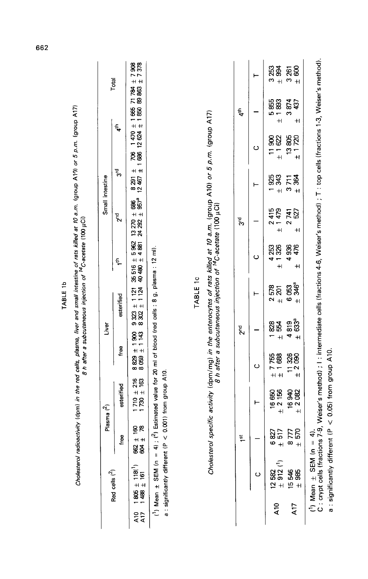| C : crypt cells (fractions 7-9, Weiser's method) ; I : intermediate cells (fractions 4-6, Weiser's method) ; T : top cells (fractions 1-3, Weiser's method).<br>۳<br>$+$<br>$\overline{+}$<br>$\frac{8291 \pm 706}{1240 \pm 1860}$ 791 ± 706 1470 ± 1665 71784<br>12467 ± 1686 12624 ± 1850 68 863<br>នន<br>- និង<br>3874<br>437<br>t,<br>۱Ω<br>Cholesterol specific activity (dpm/mg) in the enterocytes of rats killed at 10 a.m. (group A10) or 5 p.m. (group A17)<br>B h after a subcutaneous injection of <sup>14</sup> C-acetate (100 µCi)<br>$\overline{+}$<br>$\pm$<br>4 <sup>th</sup><br>13805<br>± 1720<br>11900<br>± 1622<br>ပ<br>चू<br>ल<br>1925<br>343<br>384<br>3711<br>⊢<br>$\ddot{+}$<br>$+1$<br>957ª<br>88<br>415<br>1479<br>527<br>로<br>$13\,270 \pm 9$<br>$24\,292 \pm 9$<br>टू<br>टू<br>ल<br>$\mathbf{\hat{z}}$<br>$\sim$<br>$\pm$<br>$^{\mathrm{+}}$<br>588<br>485<br>4253<br>1326<br>4936<br>476<br>4) ; ( <sup>2</sup> ) Estimated value for 20 ml of blood (red cells : 8 g, plasma : 12 ml).<br>ပ<br>H H<br>÷,<br>$\ddot{+}$<br>35516<br>$\mathsf{+}$<br>TABLE 1c<br>346ª<br>6053<br>578<br>$\begin{array}{c} 9323 \pm 1121 \\ 8302 \pm 1124 \end{array}$<br>$\pm 201$<br>⊢<br>sterified<br>$\overline{\mathbf{c}}$<br>$+$<br>$\pm 63$ <sup>a</sup><br>4819<br>828<br>554<br>2 <sup>nd</sup><br>$8829 \pm 1900$<br>$8059 \pm 143$<br>$+1$<br>free<br>$\begin{array}{c} \pm 755 \\ \pm 1688 \end{array}$<br>$11326$<br>$\pm 2.090$<br>ပ<br>$(P < 0.001)$ from group A10.<br>$+ 216$<br>$+ 163$<br>esterified<br>± 2156<br>16940<br>$\pm$ 2 082<br>16 650<br>1730<br>$\frac{1}{2}$<br>⊢<br>g e<br>570<br>517<br>6827<br>8777<br>$\frac{4}{1}$<br>free<br>-<br>82<br>83<br>$\ddot{+}$<br>$1^{\rm st}$<br>$+1$<br>$\ddot{+}$<br>$(1)$ Mean $\pm$ SEM (n<br>a : significantly different<br>$(1)$ Mean $\pm$ SEM (n =<br>$\begin{array}{c} 12582 \\ + 912 \end{array}$<br>$\begin{array}{c} 1805 \pm 1180 \\ 1488 \pm 161 \end{array}$<br>Red cells $(^2)$<br>15 546<br>± 985<br>$\circ$<br>$\frac{10}{2}$<br>A17<br>ata<br>AT |  | Plasma $(^2)$ | vëri |  | Small intestine |  |                          |
|---------------------------------------------------------------------------------------------------------------------------------------------------------------------------------------------------------------------------------------------------------------------------------------------------------------------------------------------------------------------------------------------------------------------------------------------------------------------------------------------------------------------------------------------------------------------------------------------------------------------------------------------------------------------------------------------------------------------------------------------------------------------------------------------------------------------------------------------------------------------------------------------------------------------------------------------------------------------------------------------------------------------------------------------------------------------------------------------------------------------------------------------------------------------------------------------------------------------------------------------------------------------------------------------------------------------------------------------------------------------------------------------------------------------------------------------------------------------------------------------------------------------------------------------------------------------------------------------------------------------------------------------------------------------------------------------------------------------------------------------------------------------------------------------------------------------------------------------------------------------------------------------------------------------------------------------------------------------------------------------------------------------------------------------------|--|---------------|------|--|-----------------|--|--------------------------|
|                                                                                                                                                                                                                                                                                                                                                                                                                                                                                                                                                                                                                                                                                                                                                                                                                                                                                                                                                                                                                                                                                                                                                                                                                                                                                                                                                                                                                                                                                                                                                                                                                                                                                                                                                                                                                                                                                                                                                                                                                                                   |  |               |      |  |                 |  | Total                    |
|                                                                                                                                                                                                                                                                                                                                                                                                                                                                                                                                                                                                                                                                                                                                                                                                                                                                                                                                                                                                                                                                                                                                                                                                                                                                                                                                                                                                                                                                                                                                                                                                                                                                                                                                                                                                                                                                                                                                                                                                                                                   |  |               |      |  |                 |  | $\pm 7308$<br>$\pm 7378$ |
|                                                                                                                                                                                                                                                                                                                                                                                                                                                                                                                                                                                                                                                                                                                                                                                                                                                                                                                                                                                                                                                                                                                                                                                                                                                                                                                                                                                                                                                                                                                                                                                                                                                                                                                                                                                                                                                                                                                                                                                                                                                   |  |               |      |  |                 |  |                          |
|                                                                                                                                                                                                                                                                                                                                                                                                                                                                                                                                                                                                                                                                                                                                                                                                                                                                                                                                                                                                                                                                                                                                                                                                                                                                                                                                                                                                                                                                                                                                                                                                                                                                                                                                                                                                                                                                                                                                                                                                                                                   |  |               |      |  |                 |  |                          |
|                                                                                                                                                                                                                                                                                                                                                                                                                                                                                                                                                                                                                                                                                                                                                                                                                                                                                                                                                                                                                                                                                                                                                                                                                                                                                                                                                                                                                                                                                                                                                                                                                                                                                                                                                                                                                                                                                                                                                                                                                                                   |  |               |      |  |                 |  |                          |
|                                                                                                                                                                                                                                                                                                                                                                                                                                                                                                                                                                                                                                                                                                                                                                                                                                                                                                                                                                                                                                                                                                                                                                                                                                                                                                                                                                                                                                                                                                                                                                                                                                                                                                                                                                                                                                                                                                                                                                                                                                                   |  |               |      |  |                 |  |                          |
|                                                                                                                                                                                                                                                                                                                                                                                                                                                                                                                                                                                                                                                                                                                                                                                                                                                                                                                                                                                                                                                                                                                                                                                                                                                                                                                                                                                                                                                                                                                                                                                                                                                                                                                                                                                                                                                                                                                                                                                                                                                   |  |               |      |  |                 |  |                          |
|                                                                                                                                                                                                                                                                                                                                                                                                                                                                                                                                                                                                                                                                                                                                                                                                                                                                                                                                                                                                                                                                                                                                                                                                                                                                                                                                                                                                                                                                                                                                                                                                                                                                                                                                                                                                                                                                                                                                                                                                                                                   |  |               |      |  |                 |  | 3 253<br>994             |
|                                                                                                                                                                                                                                                                                                                                                                                                                                                                                                                                                                                                                                                                                                                                                                                                                                                                                                                                                                                                                                                                                                                                                                                                                                                                                                                                                                                                                                                                                                                                                                                                                                                                                                                                                                                                                                                                                                                                                                                                                                                   |  |               |      |  |                 |  | 800<br>3 261             |
|                                                                                                                                                                                                                                                                                                                                                                                                                                                                                                                                                                                                                                                                                                                                                                                                                                                                                                                                                                                                                                                                                                                                                                                                                                                                                                                                                                                                                                                                                                                                                                                                                                                                                                                                                                                                                                                                                                                                                                                                                                                   |  |               |      |  |                 |  |                          |

TABLE 1b

662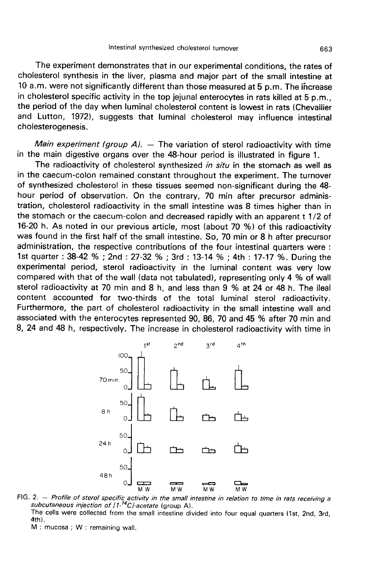The experiment demonstrates that in our experimental conditions, the rates of cholesterol synthesis in the liver, plasma and major part of the small intestine at 10 a.m. were not significantly different than those measured at 5 p.m. The increase in cholesterol specific activity in the top jejunal enterocytes in rats killed at 5 p.m., the period of the day when luminal cholesterol content is lowest in rats (Chevallier and Lutton, 1972), suggests that luminal cholesterol may influence intestinal cholesterogenesis.

*Main experiment (group A).*  $-$  The variation of sterol radioactivity with time in the main digestive organs over the 48-hour period is illustrated in figure 1.

The radioactivity of cholesterol synthesized in situ in the stomach as well as in the caecum-colon remained constant throughout the experiment. The turnover of synthesized cholesterol in these tissues seemed non-significant during the 48 hour period of observation. On the contrary, 70 min after precursor administration, cholesterol radioactivity in the small intestine was 8 times higher than in the stomach or the caecum-colon and decreased rapidly with an apparent t 1/2 of 16-20 h. As noted in our previous article, most (about 70 %) of this radioactivity was found in the first half of the small intestine. So, 70 min or 8 h after precursor administration, the respective contributions of the four intestinal quarters were : 1st quarter : 38-42 % ; 2nd : 27-32 % ; 3rd : 13-14 % ; 4th : 17-17 %. During the experimental period, sterol radioactivity in the luminal content was very low compared with that of the wall (data not tabulated), representing only 4 % of wall sterol radioactivity at 70 min and 8 h, and less than 9 % at 24 or 48 h. The ileal content accounted for two-thirds of the total luminal sterol radioactivity. Furthermore, the part of cholesterol radioactivity in the small intestine wall and associated with the enterocytes represented 90, 86, 70 and 45 % after 70 min and 8, 24 and 48 h, respectively. The increase in cholesterol radioactivity with time in



FIG. 2. -- Profile of sterol specific activity in the small intestine in relation to time in rats receiving a subcutaneous injection of  $(1^{-14}C)$ -acetate (group A). The cells were collected from the small intestine divided into four equal quarters (1st, 2nd, 3rd,  $4th$ 

M: mucosa ; W: remaining wall.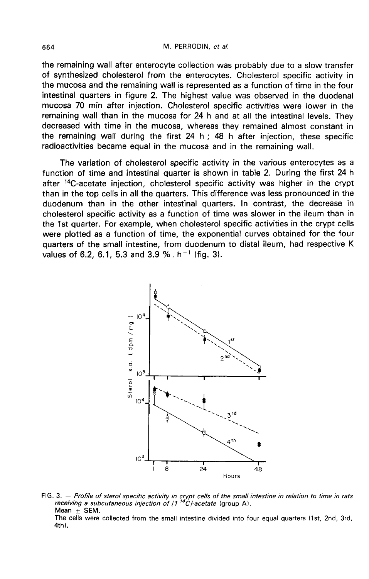the remaining wall after enterocyte collection was probably due to a slow transfer of synthesized cholesterol from the enterocytes. Cholesterol specific activity in the mucosa and the remaining wall is represented as a function of time in the four intestinal quarters in figure 2. The highest value was observed in the duodenal mucosa 70 min after injection. Cholesterol specific activities were lower in the remaining wall than in the mucosa for 24 h and at all the intestinal levels. They decreased with time in the mucosa, whereas they remained almost constant in the remaining wall during the first  $24 h$ ;  $48 h$  after injection, these specific radioactivities became equal in the mucosa and in the remaining wall.

The variation of cholesterol specific activity in the various enterocytes as a function of time and intestinal quarter is shown in table 2. During the first 24 h after <sup>14</sup>C-acetate injection, cholesterol specific activity was higher in the crypt than in the top cells in all the quarters. This difference was less pronounced in the duodenum than in the other intestinal quarters. In contrast, the decrease in cholesterol specific activity as a function of time was slower in the ileum than in the 1st quarter. For example, when cholesterol specific activities in the crypt cells were plotted as a function of time, the exponential curves obtained for the four quarters of the small intestine, from duodenum to distal ileum, had respective K values of 6.2, 6.1, 5.3 and 3.9 %,  $h^{-1}$  (fig. 3).



FIG. 3. – Profile of sterol specific activity in crypt cells of the small intestine in relation to time in rats receiving a subcutaneous injection of  $11^{14}C$ *-acetate* (group A). Mean  $\pm$  SEM.

The cells were collected from the small intestine divided into four equal quarters (1st, 2nd, 3rd,  $4th$ ).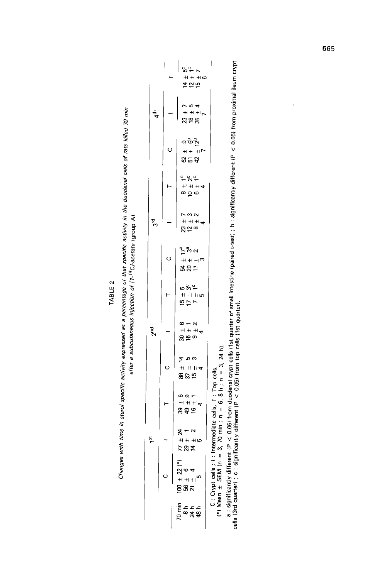| ¢ | N      |  |
|---|--------|--|
| ш |        |  |
| ٦ |        |  |
|   | ď<br>۰ |  |

Changes with time in sterol specific activity expressed as a percentage of that specific activity in the duodenal cells of rats killed 70 min<br>after a subcurrence of the facturing a subcutaneous injection of [1-14C}-acetate

|                 |   | ج ج م<br>$+1+1$<br><b>425</b>                       |                                                                          |
|-----------------|---|-----------------------------------------------------|--------------------------------------------------------------------------|
| 4 <sup>th</sup> |   | 754<br>$+ + +$<br>ដូនដ                              |                                                                          |
|                 | Ō | ၿပိုက္ခ်<br>$+$ $+$ $+$ $+$ $-$<br>ន្ទ្រកន្ទ        |                                                                          |
|                 |   | 282<br>$+$ $+$ $+$ $+$<br>$\infty \subseteq \infty$ |                                                                          |
| टू<br>ल         |   | 732<br>$H + H +$<br>ສະ∞                             |                                                                          |
|                 | Ō | ) คือ ๆ<br>$H + H$ m<br>ងន≂                         |                                                                          |
|                 |   | ພິຕິ–<br>$H + H$<br>おけて                             |                                                                          |
| م<br>م          |   | $\frac{6}{2}$<br>$H + H + \frac{1}{2}$<br>ఇలం       |                                                                          |
|                 | Ō | _<br>ლო<br>$+$ $+$ $+$ $+$<br>88 25                 | $=$ 3, 24 h).                                                            |
|                 |   | $\circ$ $\circ$ $\sim$<br>$+ + + +$<br>8\$ ఉ        | itermediate cells, T : Top cells.<br>3, 70 min ; $n = 6$ , 8 h ; $n = ?$ |
| ist             |   | $\alpha - \alpha$<br>$+$ $+$ $+$ $+$<br>トのす         |                                                                          |
|                 |   | 2 (*)<br>ω<br>=<br>ខ្នងដ                            | C: Crypt cells; I: Int<br>() Mean $\pm$ SEM (n = 3                       |
|                 |   | nin<br>Q<br>a<br>प्रक्षे<br>प्रक                    |                                                                          |

a : significantly different (P < 0.05) from duodenal crypt cells (1st quarter of small intestine (paired t-test) ; b : significantly different (P < 0.05) from proximal ileum crypt<br>cells (3rd quarter) ; c : significantly d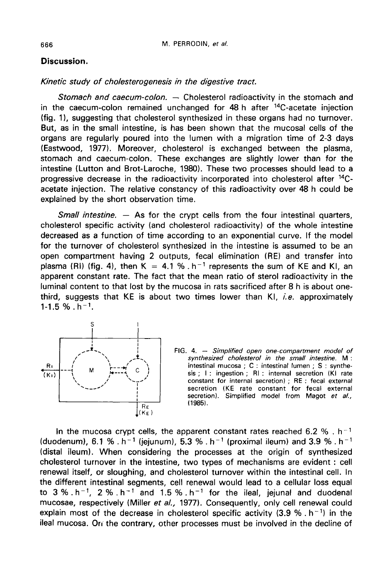# Discussion.

### Kinetic study of cholesterogenesis in the digestive tract.

Stomach and caecum-colon. - Cholesterol radioactivity in the stomach and in the caecum-colon remained unchanged for  $48$  h after  $14C$ -acetate injection (fig. 11, suggesting that cholesterol synthesized in these organs had no turnover. But, as in the small intestine, is has been shown that the mucosal cells of the organs are regularly poured into the lumen with a migration time of 2-3 days (Eastwood, 1977). Moreover, cholesterol is exchanged between the plasma, stomach and caecum-colon. These exchanges are slightly lower than for the intestine (Lutton and Brot-Laroche, 1980). These two processes should lead to a progressive decrease in the radioactivity incorporated into cholesterol after 14Cacetate injection. The relative constancy of this radioactivity over 48 h could be explained by the short observation time.

*Small intestine.*  $-$  As for the crypt cells from the four intestinal quarters, cholesterol specific activity (and cholesterol radioactivity) of the whole intestine decreased as a function of time according to an exponential curve. If the model for the turnover of cholesterol synthesized in the intestine is assumed to be an open compartment having 2 outputs, fecal elimination (RE) and transfer into plasma (RI) (fig. 4), then K = 4.1 %  $h^{-1}$  represents the sum of KE and KI, an apparent constant rate. The fact that the mean ratio of sterol radioactivity in the luminal content to that lost by the mucosa in rats sacrificed after 8 h is about onethird, suggests that KE is about two times lower than KI, *i.e.* approximately  $1-1.5 \%$ . h<sup>-1</sup>.





In the mucosa crypt cells, the apparent constant rates reached 6.2 %,  $h^{-1}$ (duodenum), 6.1 %  $h^{-1}$  (jejunum), 5.3 %  $h^{-1}$  (proximal ileum) and 3.9 %  $h^{-1}$ (distal ileum). When considering the processes at the origin of synthesized cholesterol turnover in the intestine, two types of mechanisms are evident : cell renewal itself, or sloughing, and cholesterol turnover within t cholesterol turnover in the intestine, two types of mechanisms are evident : cell renewal itself, or sloughing, and cholesterol turnover within the intestinal cell. In the different intestinal segments, cell renewal would lead to a cellular loss equal<br>to  $3\% \cdot h^{-1}$ ,  $2\% \cdot h^{-1}$  and 1.5 %  $h^{-1}$  for the ileal, jejunal and duodenal mucosae, respectively (Miller et al., 1977). Consequently, only cell renewal could explain most of the decrease in cholesterol specific activity  $(3.9\% \cdot h^{-1})$  in the ileal mucosa. Ori the contrary, other processes must be involved in the decline of

666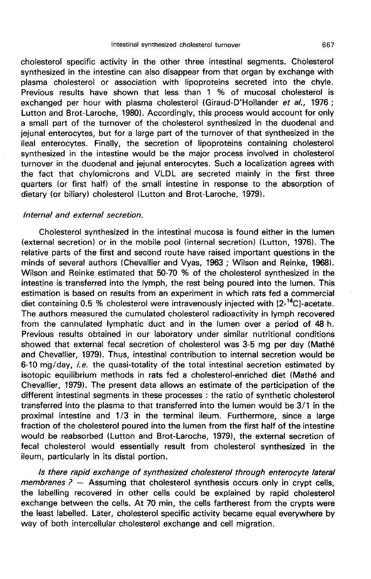cholesterol specific activity in the other three intestinal segments. Cholesterol synthesized in the intestine can also disappear from that organ by exchange with plasma cholesterol or association with lipoproteins secreted into the chyle. Previous results have shown that less than 1 % of mucosal cholesterol is exchanged per hour with plasma cholesterol (Giraud-D'Hollander et al., 1976 ; Lutton and Brot-Laroche, 1980). Accordingly, this process would account for only a small part of the turnover of the cholesterol synthesized in the duodenal and jejunal enterocytes, but for a large part of the turnover of that synthesized in the ileal enterocytes. Finally, the secretion of lipoproteins containing cholesterol synthesized in the intestine would be the major process involved in cholesterol turnover in the duodenal and jejunal enterocytes. Such a localization agrees with the fact that chylomicrons and VLDL are secreted mainly in the first three quarters (or first half) of the small intestine in response to the absorption of dietary (or biliary) cholesterol (Lutton and Brot-Laroche, 1979).

## Internal and external secretion.

Cholesterol synthesized in the intestinal mucosa is found either in the lumen (external secretion) or in the mobile pool (internal secretion) (Lutton, 1976). The relative parts of the first and second route have raised important questions in the minds of several authors (Chevallier and Vyas, 1963 ; Wilson and Reinke, 1968). Wilson and Reinke estimated that 50-70 % of the cholesterol synthesized in the intestine is transferred into the lymph, the rest being poured into the lumen. This estimation is based on results from an experiment in which rats fed a commercial diet containing 0.5 % cholesterol were intravenously injected with  $[2^{-14}C]$ -acetate. The authors measured the cumulated cholesterol radioactivity in lymph recovered from the cannulated lymphatic duct and in the lumen over a period of 48 h. Previous results obtained in our laboratory under similar nutritional conditions showed that external fecal secretion of cholesterol was 3-5 mg per day (Mathé and Chevallier, 1979). Thus, intestinal contribution to internal secretion would be 6-10 mg/day, *i.e.* the quasi-totality of the total intestinal secretion estimated by isotopic equilibrium methods in rats fed a cholesterol-enriched diet (Mathé and Chevallier, 1979). The present data allows an estimate of the participation of the different intestinal segments in these processes : the ratio of synthetic cholesterol transferred into the plasma to that transferred into the lumen would be 3/1 in the proximal intestine and 1/3 in the terminal ileum. Furthermore, since a large fraction of the cholesterol poured into the lumen from the first half of the intestine would be reabsorbed (Lutton and Brot-Laroche, 1979), the external secretion of fecal cholesterol would essentially result from cholesterol synthesized in the ileum, particularly in its distal portion.

Is there rapid exchange of synthesized cholesterol through enterocyte lateral membranes  $P -$  Assuming that cholesterol synthesis occurs only in crypt cells, the labelling recovered in other cells could be explained by rapid cholesterol exchange between the cells. At 70 min, the cells fartherest from the crypts were the least labelled. Later, cholesterol specific activity became equal everywhere by way of both intercellular cholesterol exchange and cell migration.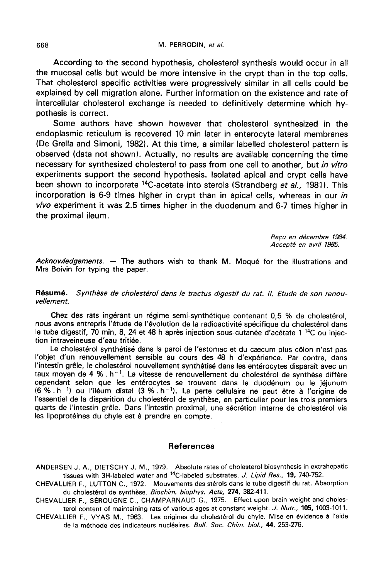According to the second hypothesis, cholesterol synthesis would occur in all the mucosal cells but would be more intensive in the crypt than in the top cells. That cholesterol specific activities were progressively similar in all cells could be explained by cell migration alone. Further information on the existence and rate of intercellular cholesterol exchange is needed to definitively determine which hypothesis is correct.

Some authors have shown however that cholesterol synthesized in the endoplasmic reticulum is recovered 10 min later in enterocyte lateral membranes (De Grella and Simoni, 1982). At this time, a similar labelled cholesterol pattern is observed (data not shown). Actually, no results are available concerning the time necessary for synthesized cholesterol to pass from one cell to another, but in vitro experiments support the second hypothesis. Isolated apical and crypt cells have been shown to incorporate <sup>14</sup>C-acetate into sterols (Strandberg et al., 1981). This incorporation is 6-9 times higher in crypt than in apical cells, whereas in our in vivo experiment it was 2.5 times higher in the duodenum and 6-7 times higher in the proximal ileum.

> Reçu en décembre 1984. Accepté en avril 1985.

Acknowledgements. — The authors wish to thank M. Mogué for the illustrations and Mrs Boivin for typing the paper.

Résumé. Synthèse de cholestérol dans le tractus digestif du rat. Il. Etude de son renouvellement.

Chez des rats ingérant un régime semi-synthétique contenant 0,5 % de cholestérol, nous avons entrepris l'étude de l'évolution de la radioactivité spécifique du cholestérol dans le tube digestif, 70 min, 8, 24 et 48 h après injection sous-cutanée d'acétate 1 <sup>14</sup>C ou injec-<br>tion intraveineuse d'eau tritiée.

Le cholestérol synthétisé dans la paroi de l'estomac et du caecum plus côlon n'est pas l'objet d'un renouvellement sensible au cours des 48 h d'expérience. Par contre, dans l'intestin grêle, le cholestérol nouvellement synthétisé dans les entérocytes disparaît avec un taux moyen de 4 % . h<sup> $-1$ </sup>. La vitesse de renouvellement du cholestérol de synthèse diffère cependant selon que les entérocytes se trouvent dans le duodénum ou le jéjunum<br>(6 % . h<sup>-1</sup>) ou l'iléum distal (3 % . h<sup>-1</sup>). La perte cellulaire ne peut être à l'origine de l'essentiel de la disparition du cholestérol de synthèse, en particulier pour les trois premiers quarts de l'intestin grêle. Dans l'intestin proximal, une sécrétion interne de cholestérol via les lipoprotéines du chyle est à prendre en compte.

### References

ANDERSEN J. A., DIETSCHY J. M., 1979. Absolute rates of cholesterol biosynthesis in extrahepatic tissues with 3H-labeled water and <sup>14</sup>C-labeled substrates. J. Lipid Res., 19, 740-752.

CHEVALLIER F., LUTTON C., 1972. Mouvements des stérols dans le tube digestif du rat. Absorption du cholestérol de synthèse. Biochim. biophys. Acta, 274, 382-411.

CHEVALLIER F., SEROUGNE C., CHAMPARNAUD G., 1975. Effect upon brain weight and cholesterol content of maintaining rats of various ages at constant weight. J. Nutr., 105, 1003-1011.

CHEVALLIER F., VYAS M., 1963. Les origines du cholestérol du chyle. Mise en évidence à l'aide de la méthode des indicateurs nucléaires. Bull. Soc. Chim. biol., 44, 253-276.